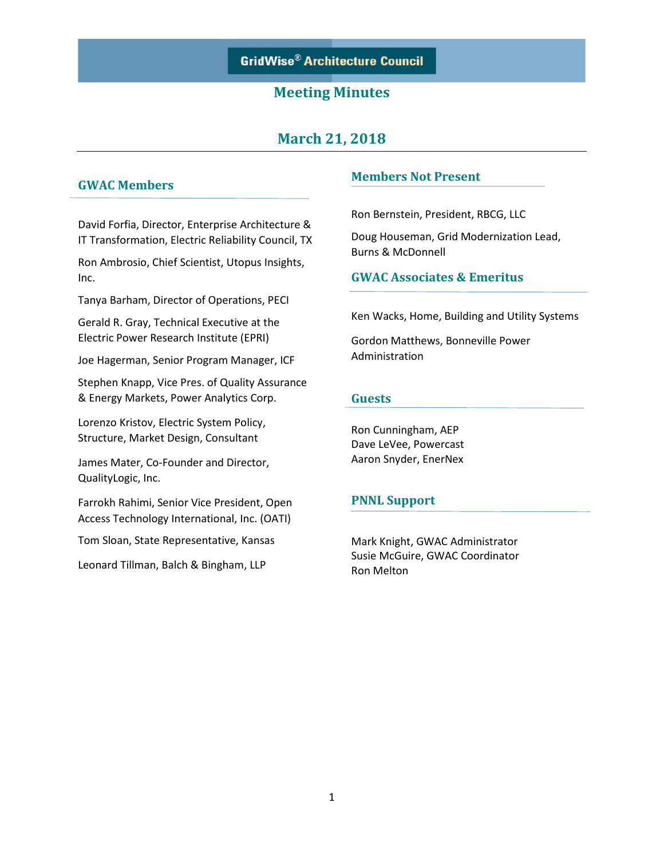# **March 21, 2018**

### **GWAC Members**

David Forfia, Director, Enterprise Architecture & IT Transformation, Electric Reliability Council, TX

Ron Ambrosio, Chief Scientist, Utopus Insights, Inc.

Tanya Barham, Director of Operations, PECI

Gerald R. Gray, Technical Executive at the Electric Power Research Institute (EPRI)

Joe Hagerman, Senior Program Manager, ICF

Stephen Knapp, Vice Pres. of Quality Assurance & Energy Markets, Power Analytics Corp.

Lorenzo Kristov, Electric System Policy, Structure, Market Design, Consultant

James Mater, Co-Founder and Director, QualityLogic, Inc.

Farrokh Rahimi, Senior Vice President, Open Access Technology International, Inc. (OATI)

Tom Sloan, State Representative, Kansas

Leonard Tillman, Balch & Bingham, LLP

#### **Members Not Present**

Ron Bernstein, President, RBCG, LLC

Doug Houseman, Grid Modernization Lead, Burns & McDonnell

### **GWAC Associates & Emeritus**

Ken Wacks, Home, Building and Utility Systems

Gordon Matthews, Bonneville Power Administration

#### **Guests**

Ron Cunningham, AEP Dave LeVee, Powercast Aaron Snyder, EnerNex

### **PNNL Support**

Mark Knight, GWAC Administrator Susie McGuire, GWAC Coordinator Ron Melton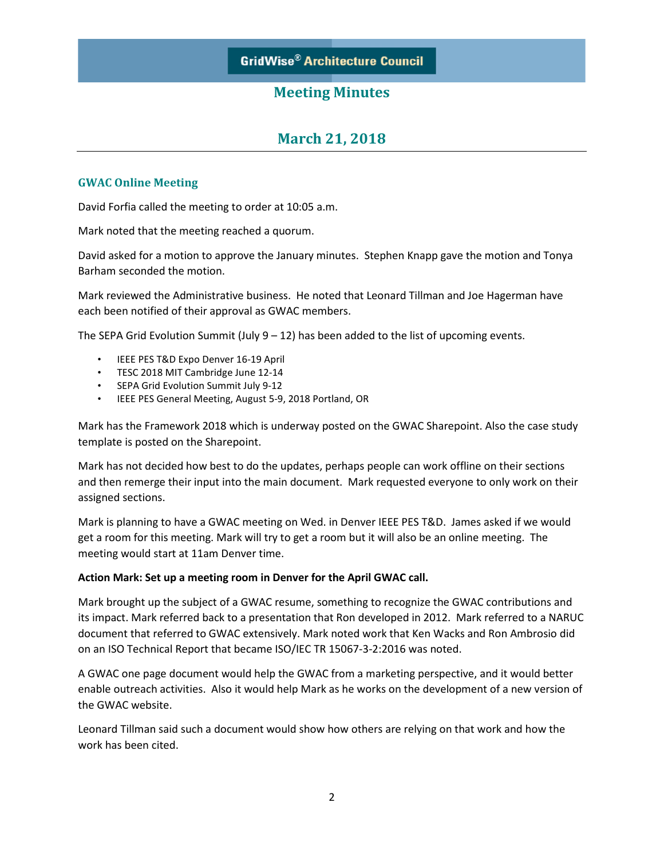# **March 21, 2018**

#### **GWAC Online Meeting**

David Forfia called the meeting to order at 10:05 a.m.

Mark noted that the meeting reached a quorum.

David asked for a motion to approve the January minutes. Stephen Knapp gave the motion and Tonya Barham seconded the motion.

Mark reviewed the Administrative business. He noted that Leonard Tillman and Joe Hagerman have each been notified of their approval as GWAC members.

The SEPA Grid Evolution Summit (July  $9 - 12$ ) has been added to the list of upcoming events.

- IEEE PES T&D Expo Denver 16-19 April
- TESC 2018 MIT Cambridge June 12-14
- SEPA Grid Evolution Summit July 9-12
- IEEE PES General Meeting, August 5-9, 2018 Portland, OR

Mark has the Framework 2018 which is underway posted on the GWAC Sharepoint. Also the case study template is posted on the Sharepoint.

Mark has not decided how best to do the updates, perhaps people can work offline on their sections and then remerge their input into the main document. Mark requested everyone to only work on their assigned sections.

Mark is planning to have a GWAC meeting on Wed. in Denver IEEE PES T&D. James asked if we would get a room for this meeting. Mark will try to get a room but it will also be an online meeting. The meeting would start at 11am Denver time.

#### **Action Mark: Set up a meeting room in Denver for the April GWAC call.**

Mark brought up the subject of a GWAC resume, something to recognize the GWAC contributions and its impact. Mark referred back to a presentation that Ron developed in 2012. Mark referred to a NARUC document that referred to GWAC extensively. Mark noted work that Ken Wacks and Ron Ambrosio did on an ISO Technical Report that became ISO/IEC TR 15067-3-2:2016 was noted.

A GWAC one page document would help the GWAC from a marketing perspective, and it would better enable outreach activities. Also it would help Mark as he works on the development of a new version of the GWAC website.

Leonard Tillman said such a document would show how others are relying on that work and how the work has been cited.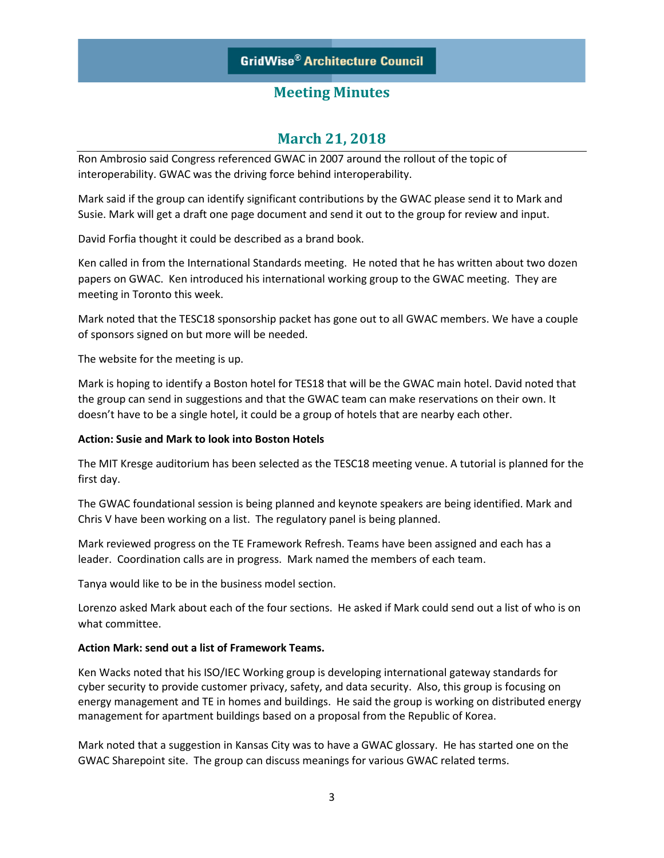# **March 21, 2018**

Ron Ambrosio said Congress referenced GWAC in 2007 around the rollout of the topic of interoperability. GWAC was the driving force behind interoperability.

Mark said if the group can identify significant contributions by the GWAC please send it to Mark and Susie. Mark will get a draft one page document and send it out to the group for review and input.

David Forfia thought it could be described as a brand book.

Ken called in from the International Standards meeting. He noted that he has written about two dozen papers on GWAC. Ken introduced his international working group to the GWAC meeting. They are meeting in Toronto this week.

Mark noted that the TESC18 sponsorship packet has gone out to all GWAC members. We have a couple of sponsors signed on but more will be needed.

The website for the meeting is up.

Mark is hoping to identify a Boston hotel for TES18 that will be the GWAC main hotel. David noted that the group can send in suggestions and that the GWAC team can make reservations on their own. It doesn't have to be a single hotel, it could be a group of hotels that are nearby each other.

#### **Action: Susie and Mark to look into Boston Hotels**

The MIT Kresge auditorium has been selected as the TESC18 meeting venue. A tutorial is planned for the first day.

The GWAC foundational session is being planned and keynote speakers are being identified. Mark and Chris V have been working on a list. The regulatory panel is being planned.

Mark reviewed progress on the TE Framework Refresh. Teams have been assigned and each has a leader. Coordination calls are in progress. Mark named the members of each team.

Tanya would like to be in the business model section.

Lorenzo asked Mark about each of the four sections. He asked if Mark could send out a list of who is on what committee.

#### **Action Mark: send out a list of Framework Teams.**

Ken Wacks noted that his ISO/IEC Working group is developing international gateway standards for cyber security to provide customer privacy, safety, and data security. Also, this group is focusing on energy management and TE in homes and buildings. He said the group is working on distributed energy management for apartment buildings based on a proposal from the Republic of Korea.

Mark noted that a suggestion in Kansas City was to have a GWAC glossary. He has started one on the GWAC Sharepoint site. The group can discuss meanings for various GWAC related terms.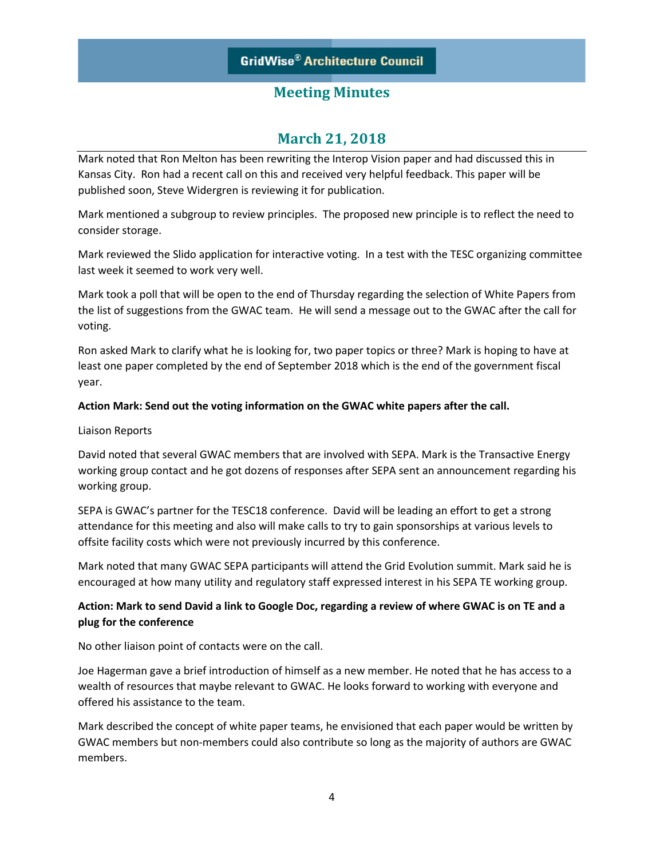# **March 21, 2018**

Mark noted that Ron Melton has been rewriting the Interop Vision paper and had discussed this in Kansas City. Ron had a recent call on this and received very helpful feedback. This paper will be published soon, Steve Widergren is reviewing it for publication.

Mark mentioned a subgroup to review principles. The proposed new principle is to reflect the need to consider storage.

Mark reviewed the Slido application for interactive voting. In a test with the TESC organizing committee last week it seemed to work very well.

Mark took a poll that will be open to the end of Thursday regarding the selection of White Papers from the list of suggestions from the GWAC team. He will send a message out to the GWAC after the call for voting.

Ron asked Mark to clarify what he is looking for, two paper topics or three? Mark is hoping to have at least one paper completed by the end of September 2018 which is the end of the government fiscal year.

#### **Action Mark: Send out the voting information on the GWAC white papers after the call.**

#### Liaison Reports

David noted that several GWAC members that are involved with SEPA. Mark is the Transactive Energy working group contact and he got dozens of responses after SEPA sent an announcement regarding his working group.

SEPA is GWAC's partner for the TESC18 conference. David will be leading an effort to get a strong attendance for this meeting and also will make calls to try to gain sponsorships at various levels to offsite facility costs which were not previously incurred by this conference.

Mark noted that many GWAC SEPA participants will attend the Grid Evolution summit. Mark said he is encouraged at how many utility and regulatory staff expressed interest in his SEPA TE working group.

### **Action: Mark to send David a link to Google Doc, regarding a review of where GWAC is on TE and a plug for the conference**

No other liaison point of contacts were on the call.

Joe Hagerman gave a brief introduction of himself as a new member. He noted that he has access to a wealth of resources that maybe relevant to GWAC. He looks forward to working with everyone and offered his assistance to the team.

Mark described the concept of white paper teams, he envisioned that each paper would be written by GWAC members but non-members could also contribute so long as the majority of authors are GWAC members.